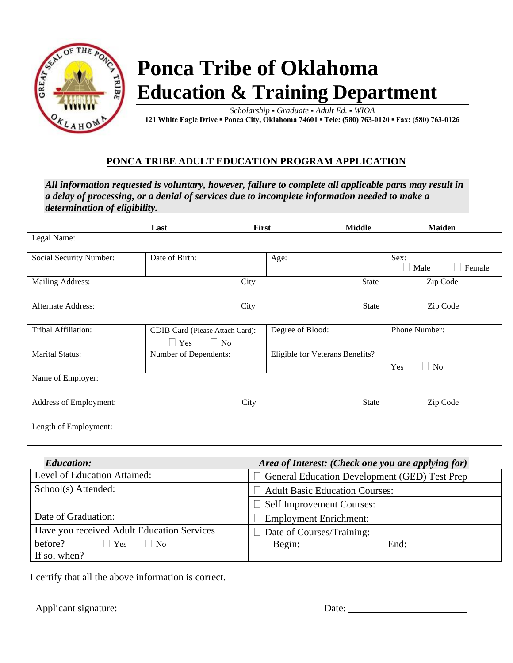

## **Ponca Tribe of Oklahoma Education & Training Department**

*Scholarship* **▪** *Graduate* **▪** *Adult Ed.* **▪** *WIOA*  **121 White Eagle Drive ▪ Ponca City, Oklahoma 74601 ▪ Tele: (580) 763-0120 ▪ Fax: (580) 763-0126**

## **PONCA TRIBE ADULT EDUCATION PROGRAM APPLICATION**

*All information requested is voluntary, however, failure to complete all applicable parts may result in a delay of processing, or a denial of services due to incomplete information needed to make a determination of eligibility.*

|                           | Last                                                       | First<br><b>Middle</b>          | <b>Maiden</b>           |
|---------------------------|------------------------------------------------------------|---------------------------------|-------------------------|
| Legal Name:               |                                                            |                                 |                         |
| Social Security Number:   | Date of Birth:                                             | Age:                            | Sex:<br>Male<br>Female  |
| Mailing Address:          | City                                                       | State                           | Zip Code                |
| <b>Alternate Address:</b> | City                                                       | <b>State</b>                    | Zip Code                |
| Tribal Affiliation:       | CDIB Card (Please Attach Card):<br>$\Box$ No<br>$\Box$ Yes | Degree of Blood:                | Phone Number:           |
| <b>Marital Status:</b>    | Number of Dependents:                                      | Eligible for Veterans Benefits? | $\Box$ Yes<br>$\Box$ No |
| Name of Employer:         |                                                            |                                 |                         |
| Address of Employment:    | City                                                       | <b>State</b>                    | Zip Code                |
| Length of Employment:     |                                                            |                                 |                         |

| <b>Education:</b>                               | Area of Interest: (Check one you are applying for)   |  |
|-------------------------------------------------|------------------------------------------------------|--|
| Level of Education Attained:                    | <b>General Education Development (GED) Test Prep</b> |  |
| School(s) Attended:                             | <b>Adult Basic Education Courses:</b>                |  |
|                                                 | <b>Self Improvement Courses:</b>                     |  |
| Date of Graduation:                             | <b>Employment Enrichment:</b>                        |  |
| Have you received Adult Education Services      | $\Box$ Date of Courses/Training:                     |  |
| before?<br>N <sub>0</sub><br>$\blacksquare$ Yes | Begin:<br>End:                                       |  |
| If so, when?                                    |                                                      |  |

I certify that all the above information is correct.

Applicant signature: Date: